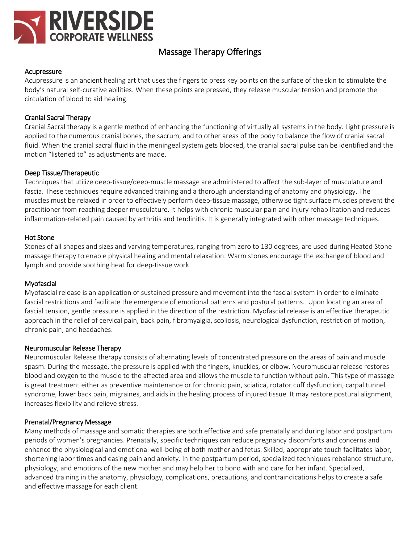

# Massage Therapy Offerings

#### Acupressure

Acupressure is an ancient healing art that uses the fingers to press key points on the surface of the skin to stimulate the body's natural self-curative abilities. When these points are pressed, they release muscular tension and promote the circulation of blood to aid healing.

## Cranial Sacral Therapy

Cranial Sacral therapy is a gentle method of enhancing the functioning of virtually all systems in the body. Light pressure is applied to the numerous cranial bones, the sacrum, and to other areas of the body to balance the flow of cranial sacral fluid. When the cranial sacral fluid in the meningeal system gets blocked, the cranial sacral pulse can be identified and the motion "listened to" as adjustments are made.

#### Deep Tissue/Therapeutic

Techniques that utilize deep-tissue/deep-muscle massage are administered to affect the sub-layer of musculature and fascia. These techniques require advanced training and a thorough understanding of anatomy and physiology. The muscles must be relaxed in order to effectively perform deep-tissue massage, otherwise tight surface muscles prevent the practitioner from reaching deeper musculature. It helps with chronic muscular pain and injury rehabilitation and reduces inflammation-related pain caused by arthritis and tendinitis. It is generally integrated with other massage techniques.

#### Hot Stone

Stones of all shapes and sizes and varying temperatures, ranging from zero to 130 degrees, are used during Heated Stone massage therapy to enable physical healing and mental relaxation. Warm stones encourage the exchange of blood and lymph and provide soothing heat for deep-tissue work.

#### Myofascial

Myofascial release is an application of sustained pressure and movement into the fascial system in order to eliminate fascial restrictions and facilitate the emergence of emotional patterns and postural patterns. Upon locating an area of fascial tension, gentle pressure is applied in the direction of the restriction. Myofascial release is an effective therapeutic approach in the relief of cervical pain, back pain, fibromyalgia, scoliosis, neurological dysfunction, restriction of motion, chronic pain, and headaches.

#### Neuromuscular Release Therapy

Neuromuscular Release therapy consists of alternating levels of concentrated pressure on the areas of pain and muscle spasm. During the massage, the pressure is applied with the fingers, knuckles, or elbow. Neuromuscular release restores blood and oxygen to the muscle to the affected area and allows the muscle to function without pain. This type of massage is great treatment either as preventive maintenance or for chronic pain, sciatica, rotator cuff dysfunction, carpal tunnel syndrome, lower back pain, migraines, and aids in the healing process of injured tissue. It may restore postural alignment, increases flexibility and relieve stress.

#### Prenatal/Pregnancy Message

Many methods of massage and somatic therapies are both effective and safe prenatally and during labor and postpartum periods of women's pregnancies. Prenatally, specific techniques can reduce pregnancy discomforts and concerns and enhance the physiological and emotional well-being of both mother and fetus. Skilled, appropriate touch facilitates labor, shortening labor times and easing pain and anxiety. In the postpartum period, specialized techniques rebalance structure, physiology, and emotions of the new mother and may help her to bond with and care for her infant. Specialized, advanced training in the anatomy, physiology, complications, precautions, and contraindications helps to create a safe and effective massage for each client.